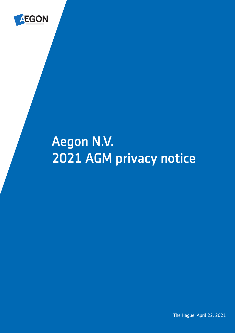

# Aegon N.V. 2021 AGM privacy notice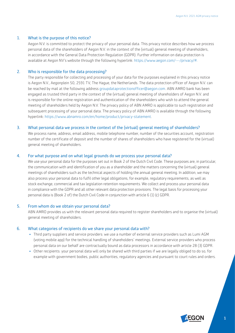# 1. What is the purpose of this notice?

Aegon N.V. is committed to protect the privacy of your personal data. This privacy notice describes how we process personal data of the shareholders of Aegon N.V. in the context of the (virtual) general meeting of shareholders, in accordance with the General Data Protection Regulation (GDPR). Further information on data protection is available at Aegon NV's website through the following hyperlink: [https://www.aegon.com/---/privacy/#](https://www.aegon.com/---/privacy/%23).

# 2. Who is responsible for the data processing?

The party responsible for collecting and processing of your data for the purposes explained in this privacy notice is Aegon N.V., Aegonplein 50, 2591 TV, The Hague, the Netherlands. The data protection officer of Aegon N.V. can be reached by mail at the following address [groupdataprotectionofficer@aegon.com.](mailto:groupdataprotectionofficer@aegon.com) ABN AMRO bank has been engaged as trusted third party in the context of the (virtual) general meeting of shareholders of Aegon N.V. and is responsible for the online registration and authentication of the shareholders who wish to attend the general meeting of shareholders held by Aegon N.V. The privacy policy of ABN AMRO is applicable to such registration and subsequent processing of your personal data. The privacy policy of ABN AMRO is available through the following hyperlink: [https://www.abnamro.com/en/home/product/privacy-statement.](https://www.abnamro.com/en/home/product/privacy-statement)

## 3. What personal data we process in the context of the (virtual) general meeting of shareholders?

We process name, address, email address, mobile telephone number, number of the securities account, registration number of the certificate of deposit and the number of shares of shareholders who have registered for the (virtual) general meeting of shareholders.

### 4. For what purpose and on what legal grounds do we process your personal data?

We use your personal data for the purposes set out in Book 2 of the Dutch Civil Code. These purposes are, in particular, the communication with and identification of you as a shareholder and the matters concerning the (virtual) general meetings of shareholders such as the technical aspects of holding the annual general meeting. In addition, we may also process your personal data to fulfil other legal obligations, for example, regulatory requirements, as well as stock exchange, commercial and tax legislation retention requirements. We collect and process your personal data in compliance with the GDPR and all other relevant data protection provisions. The legal basis for processing your personal data is (Book 2 of) the Dutch Civil Code in conjunction with article 6 (1) (c) GDPR.

# 5. From whom do we obtain your personal data?

ABN AMRO provides us with the relevant personal data required to register shareholders and to organise the (virtual) general meeting of shareholders.

# 6. What categories of recipients do we share your personal data with?

- Third party suppliers and service providers: we use a number of external service providers such as Lumi AGM (voting mobile app) for the technical handling of shareholders' meetings. External service providers who process personal data on our behalf are contractually bound as data processors in accordance with article 28 (3) GDPR.
- Other recipients: your personal data will only be shared with third parties if we are legally obliged to do so, for example with government bodies, public authorities, regulatory agencies and pursuant to court rules and orders.